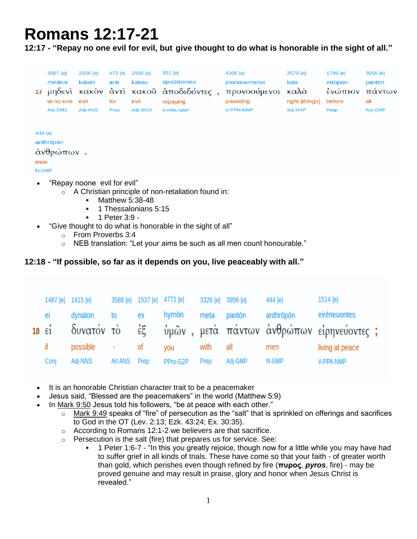# **Romans 12:17-21**

**12:17 - "Repay no one evil for evil, but give thought to do what is honorable in the sight of all."**

|         | 3367 [e]                              | 2556 [e] | 473 [e] | 2556 [e] | 591 [e]                                 | 4306 [e]     | 2570 [e]       | 1799 [e] | 3956 [e] |
|---------|---------------------------------------|----------|---------|----------|-----------------------------------------|--------------|----------------|----------|----------|
|         | mēdeni                                | kakon    | anti    | kakou    | apodidontes                             | pronooumenoi | kala           | enópion  | pantōn   |
|         |                                       |          |         |          | 17 μηδενί κακόν άντι κακοῦ άποδιδόντες, | προνοούμενοι | καλὰ           | ένώπιον  | παντων   |
|         | to no one                             | evil     | for     | evil     | repaying                                | providing    | right [things] | before   | all      |
|         | Adj-DMS                               | Adj-ANS  | Prep    | Adj-GNS  | V-PPA-NMP                               | V-PPM-NMP    | Adj-ANP        | Prep     | Adj-GMP  |
|         |                                       |          |         |          |                                         |              |                |          |          |
| 444 [e] |                                       |          |         |          |                                         |              |                |          |          |
|         | anthröpön                             |          |         |          |                                         |              |                |          |          |
|         | άνθρώπων.                             |          |         |          |                                         |              |                |          |          |
| men     |                                       |          |         |          |                                         |              |                |          |          |
| N-GMP   |                                       |          |         |          |                                         |              |                |          |          |
|         | $\bullet$ "Repay noone evil for evil" |          |         |          |                                         |              |                |          |          |

- ay noone evil for evil
	- o A Christian principle of non-retaliation found in:
		- **Matthew 5:38-48**
		- 1 Thessalonians 5:15
		- $-1$  Peter  $3.9 -$
- "Give thought to do what is honorable in the sight of all"
	- o From Proverbs 3:4
	- o NEB translation: "Let your aims be such as all men count honourable."

## **12:18 - "If possible, so far as it depends on you, live peaceably with all."**

|                   | 1487 [e] 1415 [e] |              | 3588 [e] 1537 [e] 4771 [e] |          | 3326 [e] 3956 [e] |         | 444 [e]   | 1514 [e]                                               |  |
|-------------------|-------------------|--------------|----------------------------|----------|-------------------|---------|-----------|--------------------------------------------------------|--|
| eı                | dynaton           | to           | ex                         | hymön    | meta              | pantōn  | anthrōpōn | eirēneuontes                                           |  |
| $18$ $\epsilon i$ |                   |              |                            |          |                   |         |           | δυνατόν τὸ ἐξ ὑμῶν, μετὰ πάντων ἀνθρώπων εἰρηνεύοντες; |  |
| if.               | possible - of     |              |                            | vou      | with              | all     | men       | living at peace                                        |  |
| Conj              | Adj-NNS           | Art-ANS Prep |                            | PPro-G2P | Prep              | Adj-GMP | N-GMP     | V-PPA-NMP                                              |  |

- It is an honorable Christian character trait to be a peacemaker
- Jesus said, "Blessed are the peacemakers" in the world (Matthew 5:9)
- In Mark 9:50 Jesus told his followers, "be at peace with each other."
	- o Mark 9:49 speaks of "fire" of persecution as the "salt" that is sprinkled on offerings and sacrifices to God in the OT (Lev. 2:13; Ezk. 43:24; Ex. 30:35).
	- o According to Romans 12:1-2 we believers are that sacrifice.
	- $\circ$  Persecution is the salt (fire) that prepares us for service. See:
		- 1 Peter 1:6-7 "In this you greatly rejoice, though now for a little while you may have had to suffer grief in all kinds of trials. These have come so that your faith - of greater worth than gold, which perishes even though refined by fire (**πυρος**, *pyros*, fire) - may be proved genuine and may result in praise, glory and honor when Jesus Christ is revealed."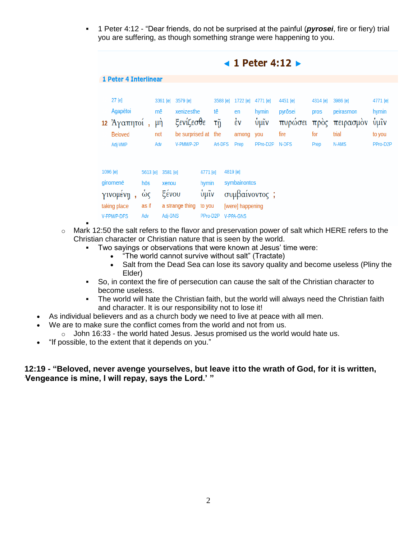1 Peter 4:12 - "Dear friends, do not be surprised at the painful (*pyrosei*, fire or fiery) trial you are suffering, as though something strange were happening to you.

|                                                                 |                                       |                                         |                                                                      |                                                 |                                        | $\blacktriangleleft$ 1 Peter 4:12 $\blacktriangleright$          |                                              |                                                 |                                         |                                                      |                                                 |  |  |  |
|-----------------------------------------------------------------|---------------------------------------|-----------------------------------------|----------------------------------------------------------------------|-------------------------------------------------|----------------------------------------|------------------------------------------------------------------|----------------------------------------------|-------------------------------------------------|-----------------------------------------|------------------------------------------------------|-------------------------------------------------|--|--|--|
| 1 Peter 4 Interlinear                                           |                                       |                                         |                                                                      |                                                 |                                        |                                                                  |                                              |                                                 |                                         |                                                      |                                                 |  |  |  |
| 27 [e]<br>Agapētoi<br>12 Άγαπητοί<br><b>Beloved</b><br>Adj-VMP  |                                       | 3361 [e]<br>mē<br>$\mu$ ŋ<br>not<br>Adv | 3579 [e]<br>xenizesthe<br>ξενίζεσθε<br>be surprised at<br>V-PMM/P-2P |                                                 | 3588 [e]<br>tē<br>τñ<br>the<br>Art-DFS | 1722 [e]<br>en<br>έν<br>among<br>Prep                            | 4771 [e]<br>hymin<br>ΰμῖν<br>you<br>PPro-D2P | 4451 [e]<br>pyrõsei<br>πυρώσει<br>fire<br>N-DFS | 4314 [e]<br>pros<br>πρὸς<br>for<br>Prep | 3986 [e]<br>peirasmon<br>πειρασμόν<br>trial<br>N-AMS | 4771 [e]<br>hymin<br>ΰμῖν<br>to you<br>PPro-D2P |  |  |  |
| 1096 [e]<br>ginomene<br>γινομενη<br>taking place<br>V-PPM/P-DFS | 5613 [e]<br>hōs<br>ώς<br>as if<br>Adv | 3581 [e]<br>xenou<br>ξένου<br>Adj-GNS   | a strange thing                                                      | 4771 [e]<br>hymin<br>ΰμῖν<br>to you<br>PPro-D2P |                                        | 4819 [e]<br>symbainontos<br>[were] happening<br><b>V-PPA-GNS</b> | συμβαίνοντος;                                |                                                 |                                         |                                                      |                                                 |  |  |  |

- :  $\circ$  Mark 12:50 the salt refers to the flavor and preservation power of salt which HERE refers to the Christian character or Christian nature that is seen by the world.
	- Two sayings or observations that were known at Jesus' time were:
		- "The world cannot survive without salt" (Tractate)
		- Salt from the Dead Sea can lose its savory quality and become useless (Pliny the Elder)
	- So, in context the fire of persecution can cause the salt of the Christian character to become useless.
	- The world will hate the Christian faith, but the world will always need the Christian faith and character. It is our responsibility not to lose it!
- As individual believers and as a church body we need to live at peace with all men.
- We are to make sure the conflict comes from the world and not from us.
	- $\circ$  John 16:33 the world hated Jesus. Jesus promised us the world would hate us.
- "If possible, to the extent that it depends on you."

#### **12:19 - "Beloved, never avenge yourselves, but leave itto the wrath of God, for it is written,** *'***Vengeance is mine, I will repay, says the Lord.' "**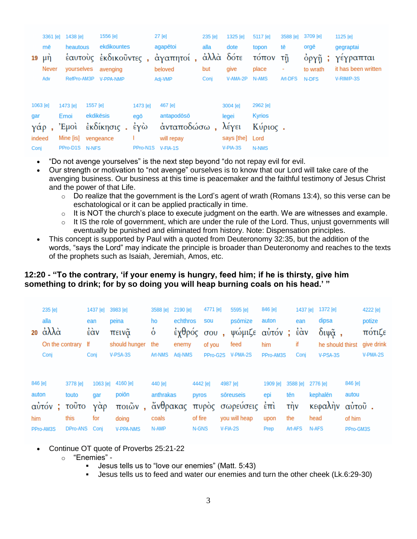| $19 \mu \eta$                             | mē<br>Never<br>Adv | 3361 [e] 1438 [e]<br>heautous<br>RefPro-AM3P             |                       | 1556 [e]<br>ekdikountes<br>yourselves avenging<br><b>V-PPA-NMP</b> |                             | 27 [e]<br>agapētoi<br>έαυτούς έκδικοῦντες, άγαπητοί, άλλά δότε<br>beloved<br>Adj-VMP | 235 [e]<br>alla<br>but<br>Conj | 1325 [e]<br>dote<br>give<br>V-AMA-2P                      | 5117 [e]<br>topon<br>τόπον τῆ<br>place<br>N-AMS | 3588 [e]<br>tē<br>$\overline{\phantom{a}}$<br>Art-DFS | 3709 [e]<br>orgē<br>όργῆ ;<br>to wrath<br>N-DFS | 1125 [e]<br>gegraptai<br>γέγραπται<br>it has been written<br>V-RIM/P-3S |
|-------------------------------------------|--------------------|----------------------------------------------------------|-----------------------|--------------------------------------------------------------------|-----------------------------|--------------------------------------------------------------------------------------|--------------------------------|-----------------------------------------------------------|-------------------------------------------------|-------------------------------------------------------|-------------------------------------------------|-------------------------------------------------------------------------|
| 1063 [e]<br>gar<br>γάρ,<br>indeed<br>Conj |                    | 1473 [e]<br>Emoi<br>'Eµoì<br>Mine [is]<br>PPro-D1S N-NFS | 1557 [e]<br>ekdikēsis | έκδίκησις. έγὼ<br>vengeance                                        | 1473 [e]<br>egō<br>PPro-N1S | 467 [e]<br>antapodōsō<br>άνταποδώσω,<br>will repay<br>$V$ -FIA-1S                    |                                | 3004 [e]<br>legei<br>λέγει<br>says [the] Lord<br>V-PIA-3S | 2962 [e]<br><b>Kyrios</b><br>Κύριος.<br>N-NMS   |                                                       |                                                 |                                                                         |

- "Do not avenge yourselves" is the next step beyond "do not repay evil for evil.
- Our strength or motivation to "not avenge" ourselves is to know that our Lord will take care of the avenging business. Our business at this time is peacemaker and the faithful testimony of Jesus Christ and the power of that Life.
	- $\circ$  Do realize that the government is the Lord's agent of wrath (Romans 13:4), so this verse can be eschatological or it can be applied practically in time.
	- $\circ$  It is NOT the church's place to execute judgment on the earth. We are witnesses and example.
	- $\circ$  It IS the role of government, which are under the rule of the Lord. Thus, unjust governments will eventually be punished and eliminated from history. Note: Dispensation principles.
- This concept is supported by Paul with a quoted from Deuteronomy 32:35, but the addition of the words, "says the Lord" may indicate the principle is broader than Deuteronomy and reaches to the texts of the prophets such as Isaiah, Jeremiah, Amos, etc.

# **12:20 - "To the contrary, 'if your enemy is hungry, feed him; if he is thirsty, give him something to drink; for by so doing you will heap burning coals on his head.' "**

|                  | 235 [e]<br>alla<br>20 $\dot{\alpha} \lambda \lambda \dot{\alpha}$<br>Conj | On the contrary If         | 1437 [e]<br>ean<br>έὰν<br>Conj | 3983 [e]<br>peina<br>πεινᾶ<br>should hunger<br>V-PSA-3S | 3588 [e]<br>ho<br>$\dot{\circ}$<br>the<br>Art-NMS | 2190 [e]<br>echthros<br>έγθρός σου,<br>enemy<br>Adj-NMS | 4771 [e]<br><b>SOU</b><br>of you<br>PPro-G2S |          | 5595 [e]<br>psōmize<br>ψώμιζε αὐτόν; έὰν<br>feed<br>V-PMA-2S | 846 [e]<br>auton<br>him<br>PPro-AM3S       | 1437 [e]<br>ean<br>if<br>Conj | 1372 [e]<br>dipsa<br>$διψ\:α$ ,<br>V-PSA-3S | he should thirst | 4222 [e]<br>potize<br>πότιζε<br>give drink<br>$V-PMA-2S$ |
|------------------|---------------------------------------------------------------------------|----------------------------|--------------------------------|---------------------------------------------------------|---------------------------------------------------|---------------------------------------------------------|----------------------------------------------|----------|--------------------------------------------------------------|--------------------------------------------|-------------------------------|---------------------------------------------|------------------|----------------------------------------------------------|
| 846 [e]<br>auton | αὐτόν ;                                                                   | 3778 [e]<br>touto<br>τοῦτο | 1063 [e]<br>qar<br>γάρ         | 4160 [e]<br>poiōn<br>$ποι$ ὦν,                          | 440 [e]<br>anthrakas<br>ἄνθρακας                  |                                                         | 4442 [e]<br>pyros                            | 4987 [e] | sõreuseis<br>πυρός σωρεύσεις                                 | 1909 [e]<br>epi<br>$\epsilon$ <sup>n</sup> | 3588 [e]<br>tēn<br>τήν        | 2776 [e]<br>kephalēn<br>κεφαλήν             | 846 [e]<br>autou | αύτοῦ.                                                   |
| him              |                                                                           | this                       | for                            | doing                                                   | coals                                             |                                                         | of fire                                      |          | you will heap                                                | upon                                       | the                           | head                                        | of him           |                                                          |
|                  | PPro-AM3S                                                                 | DPro-ANS                   | Conj                           | <b>V-PPA-NMS</b>                                        | N-AMP                                             |                                                         | N-GNS                                        | V-FIA-2S |                                                              | Prep                                       | Art-AFS                       | N-AFS                                       | PPro-GM3S        |                                                          |

- Continue OT quote of Proverbs 25:21-22
	- o "Enemies"
		- Jesus tells us to "love our enemies" (Matt. 5:43)
		- Jesus tells us to feed and water our enemies and turn the other cheek (Lk.6:29-30)